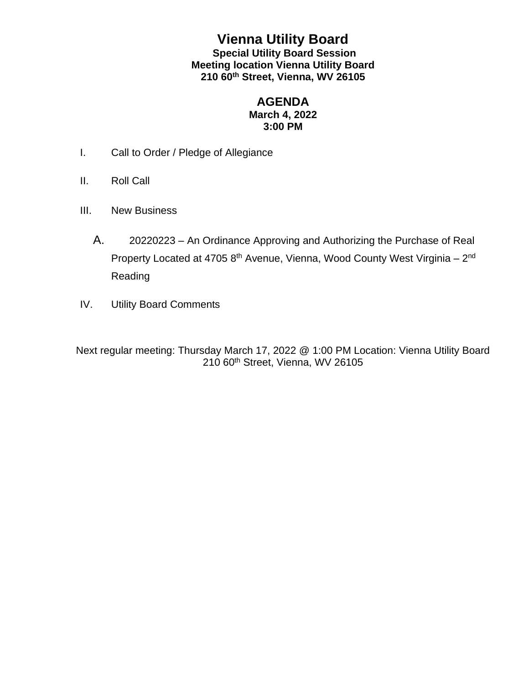## **Vienna Utility Board Special Utility Board Session Meeting location Vienna Utility Board 210 60th Street, Vienna, WV 26105**

## **AGENDA March 4, 2022 3:00 PM**

- I. Call to Order / Pledge of Allegiance
- II. Roll Call
- III. New Business
	- A. 20220223 An Ordinance Approving and Authorizing the Purchase of Real Property Located at 4705 8<sup>th</sup> Avenue, Vienna, Wood County West Virginia – 2<sup>nd</sup> Reading
- IV. Utility Board Comments

Next regular meeting: Thursday March 17, 2022 @ 1:00 PM Location: Vienna Utility Board 210 60<sup>th</sup> Street, Vienna, WV 26105